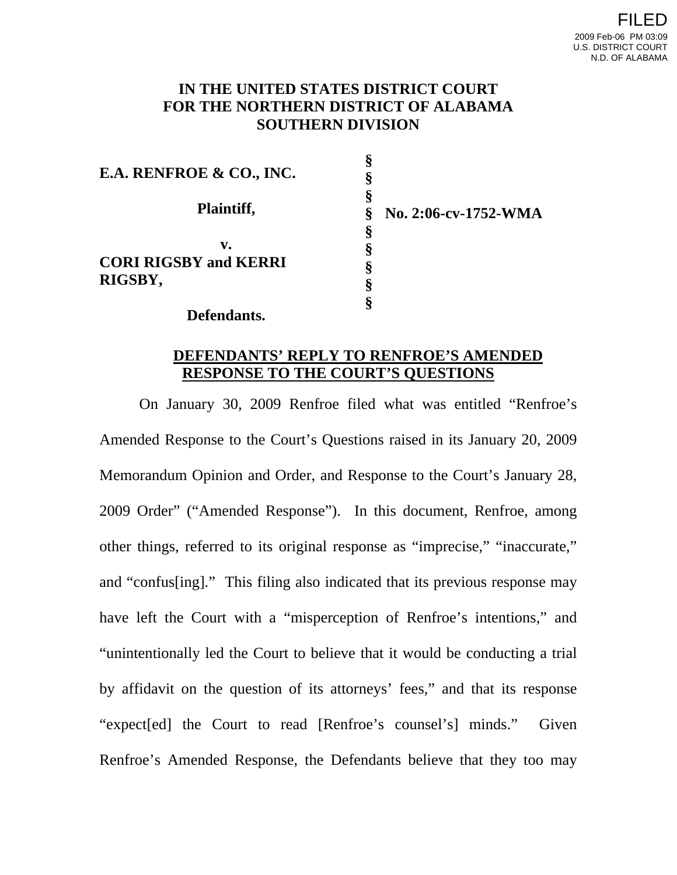## **IN THE UNITED STATES DISTRICT COURT FOR THE NORTHERN DISTRICT OF ALABAMA SOUTHERN DIVISION**

**§**

| E.A. RENFROE & CO., INC.           | v                         |
|------------------------------------|---------------------------|
| Plaintiff,                         | No. 2:06-cv-1752-WMA<br>Š |
| v.<br><b>CORI RIGSBY and KERRI</b> |                           |
| RIGSBY,                            |                           |

**Defendants.** 

# **DEFENDANTS' REPLY TO RENFROE'S AMENDED RESPONSE TO THE COURT'S QUESTIONS**

On January 30, 2009 Renfroe filed what was entitled "Renfroe's Amended Response to the Court's Questions raised in its January 20, 2009 Memorandum Opinion and Order, and Response to the Court's January 28, 2009 Order" ("Amended Response"). In this document, Renfroe, among other things, referred to its original response as "imprecise," "inaccurate," and "confus[ing]." This filing also indicated that its previous response may have left the Court with a "misperception of Renfroe's intentions," and "unintentionally led the Court to believe that it would be conducting a trial by affidavit on the question of its attorneys' fees," and that its response "expect[ed] the Court to read [Renfroe's counsel's] minds." Given Renfroe's Amended Response, the Defendants believe that they too may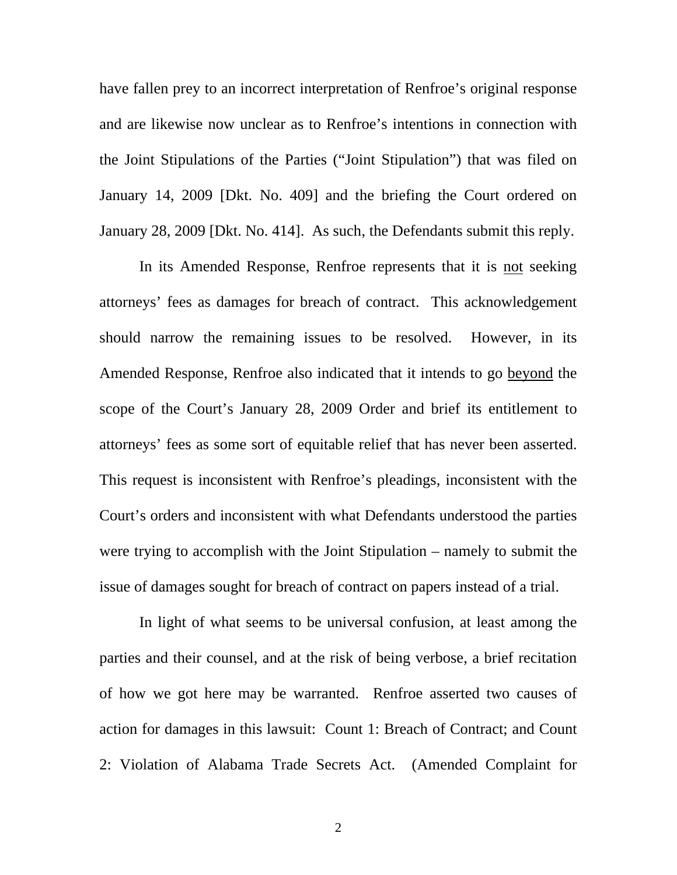have fallen prey to an incorrect interpretation of Renfroe's original response and are likewise now unclear as to Renfroe's intentions in connection with the Joint Stipulations of the Parties ("Joint Stipulation") that was filed on January 14, 2009 [Dkt. No. 409] and the briefing the Court ordered on January 28, 2009 [Dkt. No. 414]. As such, the Defendants submit this reply.

In its Amended Response, Renfroe represents that it is not seeking attorneys' fees as damages for breach of contract. This acknowledgement should narrow the remaining issues to be resolved. However, in its Amended Response, Renfroe also indicated that it intends to go beyond the scope of the Court's January 28, 2009 Order and brief its entitlement to attorneys' fees as some sort of equitable relief that has never been asserted. This request is inconsistent with Renfroe's pleadings, inconsistent with the Court's orders and inconsistent with what Defendants understood the parties were trying to accomplish with the Joint Stipulation – namely to submit the issue of damages sought for breach of contract on papers instead of a trial.

In light of what seems to be universal confusion, at least among the parties and their counsel, and at the risk of being verbose, a brief recitation of how we got here may be warranted. Renfroe asserted two causes of action for damages in this lawsuit: Count 1: Breach of Contract; and Count 2: Violation of Alabama Trade Secrets Act. (Amended Complaint for

2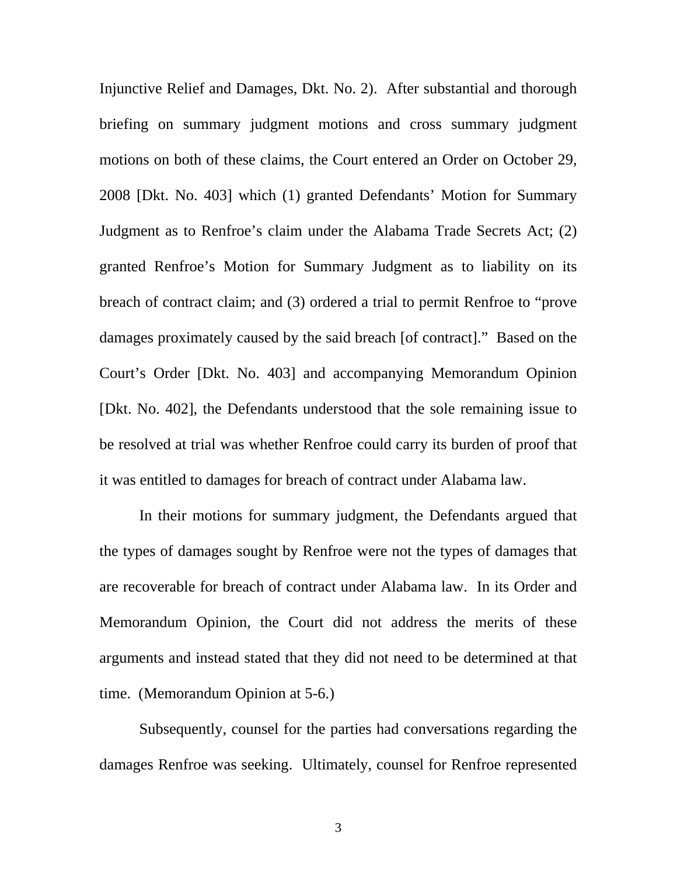Injunctive Relief and Damages, Dkt. No. 2). After substantial and thorough briefing on summary judgment motions and cross summary judgment motions on both of these claims, the Court entered an Order on October 29, 2008 [Dkt. No. 403] which (1) granted Defendants' Motion for Summary Judgment as to Renfroe's claim under the Alabama Trade Secrets Act; (2) granted Renfroe's Motion for Summary Judgment as to liability on its breach of contract claim; and (3) ordered a trial to permit Renfroe to "prove damages proximately caused by the said breach [of contract]." Based on the Court's Order [Dkt. No. 403] and accompanying Memorandum Opinion [Dkt. No. 402], the Defendants understood that the sole remaining issue to be resolved at trial was whether Renfroe could carry its burden of proof that it was entitled to damages for breach of contract under Alabama law.

In their motions for summary judgment, the Defendants argued that the types of damages sought by Renfroe were not the types of damages that are recoverable for breach of contract under Alabama law. In its Order and Memorandum Opinion, the Court did not address the merits of these arguments and instead stated that they did not need to be determined at that time. (Memorandum Opinion at 5-6.)

Subsequently, counsel for the parties had conversations regarding the damages Renfroe was seeking. Ultimately, counsel for Renfroe represented

3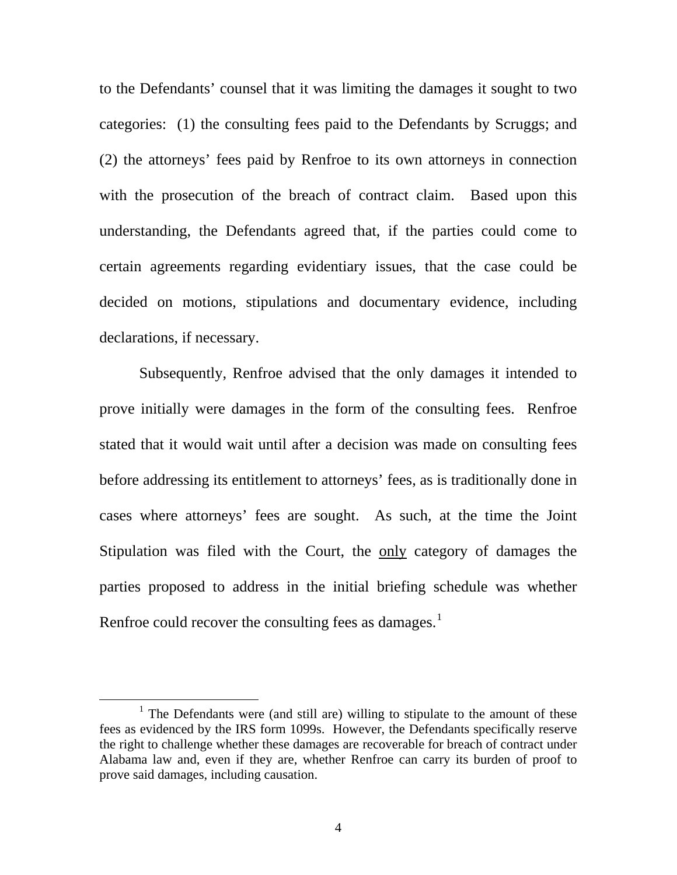to the Defendants' counsel that it was limiting the damages it sought to two categories: (1) the consulting fees paid to the Defendants by Scruggs; and (2) the attorneys' fees paid by Renfroe to its own attorneys in connection with the prosecution of the breach of contract claim. Based upon this understanding, the Defendants agreed that, if the parties could come to certain agreements regarding evidentiary issues, that the case could be decided on motions, stipulations and documentary evidence, including declarations, if necessary.

Subsequently, Renfroe advised that the only damages it intended to prove initially were damages in the form of the consulting fees. Renfroe stated that it would wait until after a decision was made on consulting fees before addressing its entitlement to attorneys' fees, as is traditionally done in cases where attorneys' fees are sought. As such, at the time the Joint Stipulation was filed with the Court, the only category of damages the parties proposed to address in the initial briefing schedule was whether Renfroe could recover the consulting fees as damages. $<sup>1</sup>$  $<sup>1</sup>$  $<sup>1</sup>$ </sup>

<span id="page-3-0"></span><sup>&</sup>lt;u>1</u> <sup>1</sup> The Defendants were (and still are) willing to stipulate to the amount of these fees as evidenced by the IRS form 1099s. However, the Defendants specifically reserve the right to challenge whether these damages are recoverable for breach of contract under Alabama law and, even if they are, whether Renfroe can carry its burden of proof to prove said damages, including causation.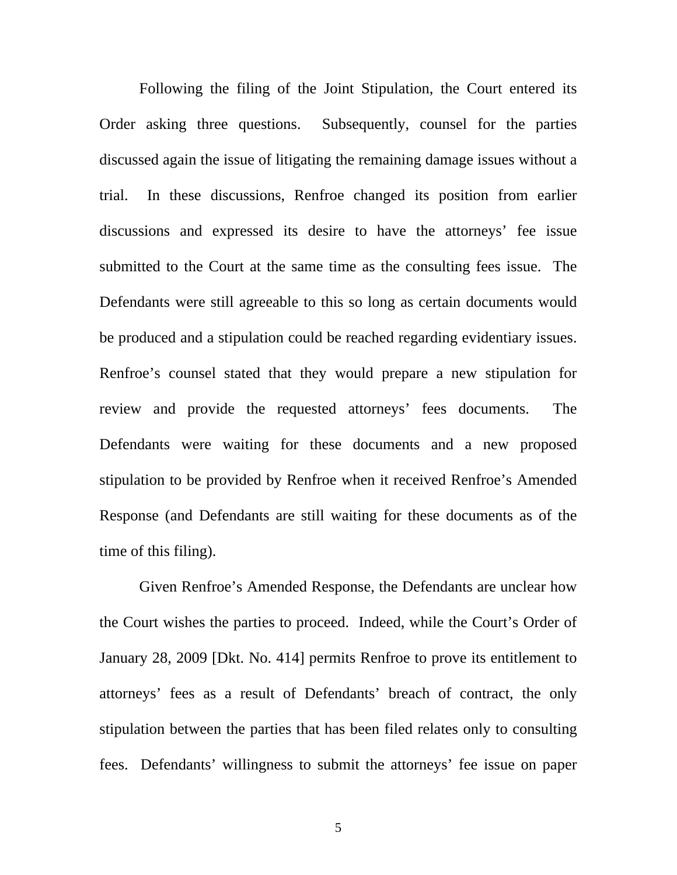Following the filing of the Joint Stipulation, the Court entered its Order asking three questions. Subsequently, counsel for the parties discussed again the issue of litigating the remaining damage issues without a trial. In these discussions, Renfroe changed its position from earlier discussions and expressed its desire to have the attorneys' fee issue submitted to the Court at the same time as the consulting fees issue. The Defendants were still agreeable to this so long as certain documents would be produced and a stipulation could be reached regarding evidentiary issues. Renfroe's counsel stated that they would prepare a new stipulation for review and provide the requested attorneys' fees documents. The Defendants were waiting for these documents and a new proposed stipulation to be provided by Renfroe when it received Renfroe's Amended Response (and Defendants are still waiting for these documents as of the time of this filing).

Given Renfroe's Amended Response, the Defendants are unclear how the Court wishes the parties to proceed. Indeed, while the Court's Order of January 28, 2009 [Dkt. No. 414] permits Renfroe to prove its entitlement to attorneys' fees as a result of Defendants' breach of contract, the only stipulation between the parties that has been filed relates only to consulting fees. Defendants' willingness to submit the attorneys' fee issue on paper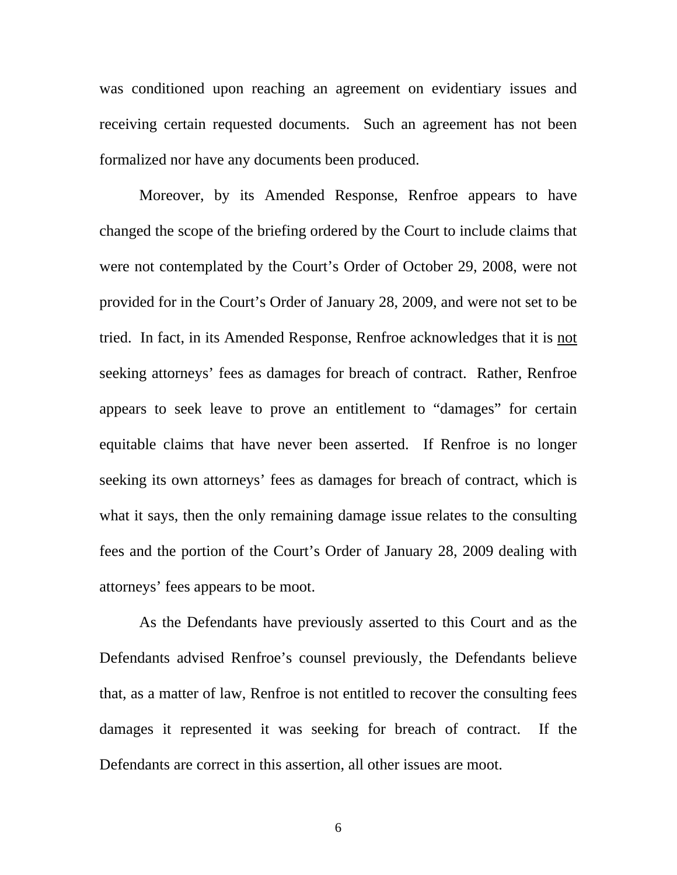was conditioned upon reaching an agreement on evidentiary issues and receiving certain requested documents. Such an agreement has not been formalized nor have any documents been produced.

Moreover, by its Amended Response, Renfroe appears to have changed the scope of the briefing ordered by the Court to include claims that were not contemplated by the Court's Order of October 29, 2008, were not provided for in the Court's Order of January 28, 2009, and were not set to be tried. In fact, in its Amended Response, Renfroe acknowledges that it is not seeking attorneys' fees as damages for breach of contract. Rather, Renfroe appears to seek leave to prove an entitlement to "damages" for certain equitable claims that have never been asserted. If Renfroe is no longer seeking its own attorneys' fees as damages for breach of contract, which is what it says, then the only remaining damage issue relates to the consulting fees and the portion of the Court's Order of January 28, 2009 dealing with attorneys' fees appears to be moot.

As the Defendants have previously asserted to this Court and as the Defendants advised Renfroe's counsel previously, the Defendants believe that, as a matter of law, Renfroe is not entitled to recover the consulting fees damages it represented it was seeking for breach of contract. If the Defendants are correct in this assertion, all other issues are moot.

6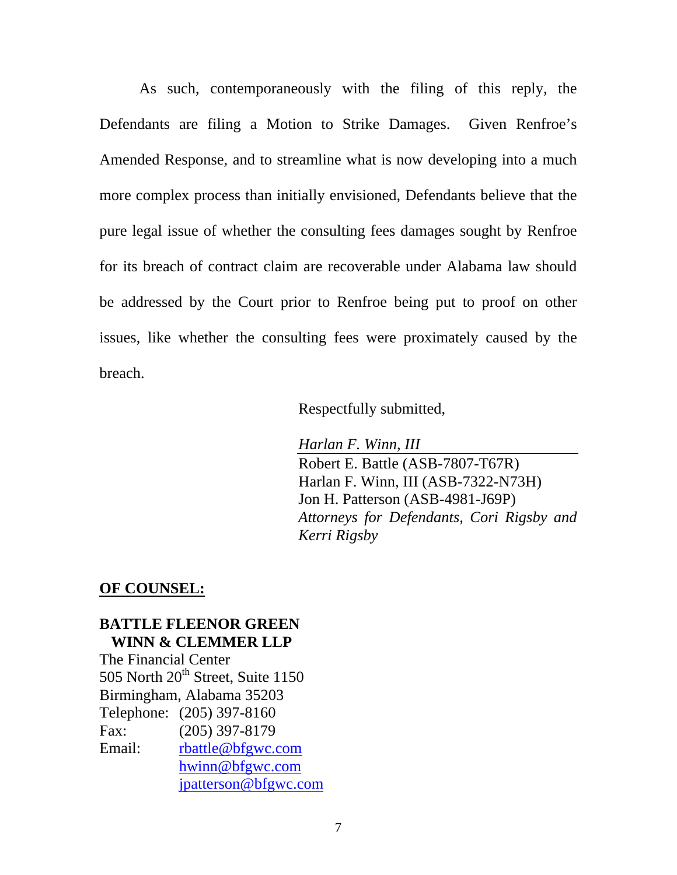As such, contemporaneously with the filing of this reply, the Defendants are filing a Motion to Strike Damages. Given Renfroe's Amended Response, and to streamline what is now developing into a much more complex process than initially envisioned, Defendants believe that the pure legal issue of whether the consulting fees damages sought by Renfroe for its breach of contract claim are recoverable under Alabama law should be addressed by the Court prior to Renfroe being put to proof on other issues, like whether the consulting fees were proximately caused by the breach.

Respectfully submitted,

*Harlan F. Winn, III*  Robert E. Battle (ASB-7807-T67R) Harlan F. Winn, III (ASB-7322-N73H) Jon H. Patterson (ASB-4981-J69P) *Attorneys for Defendants, Cori Rigsby and Kerri Rigsby* 

#### **OF COUNSEL:**

### **BATTLE FLEENOR GREEN WINN & CLEMMER LLP**

The Financial Center 505 North  $20<sup>th</sup>$  Street, Suite 1150 Birmingham, Alabama 35203 Telephone: (205) 397-8160 Fax: (205) 397-8179 Email: [rbattle@bfgwc.com](mailto:rbattle@bfgwc.com) [hwinn@bfgwc.com](mailto:hwinn@bfgwc.com)  [jpatterson@bfgwc.com](mailto:jpatterson@bfgwc.com)